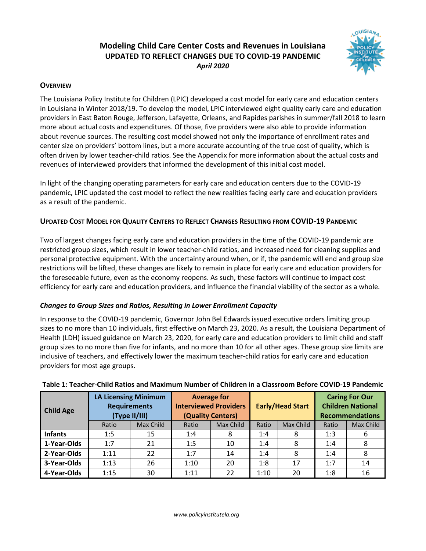# **Modeling Child Care Center Costs and Revenues in Louisiana UPDATED TO REFLECT CHANGES DUE TO COVID-19 PANDEMIC** *April 2020*



## **OVERVIEW**

The Louisiana Policy Institute for Children (LPIC) developed a cost model for early care and education centers in Louisiana in Winter 2018/19. To develop the model, LPIC interviewed eight quality early care and education providers in East Baton Rouge, Jefferson, Lafayette, Orleans, and Rapides parishes in summer/fall 2018 to learn more about actual costs and expenditures. Of those, five providers were also able to provide information about revenue sources. The resulting cost model showed not only the importance of enrollment rates and center size on providers' bottom lines, but a more accurate accounting of the true cost of quality, which is often driven by lower teacher-child ratios. See the Appendix for more information about the actual costs and revenues of interviewed providers that informed the development of this initial cost model.

In light of the changing operating parameters for early care and education centers due to the COVID-19 pandemic, LPIC updated the cost model to reflect the new realities facing early care and education providers as a result of the pandemic.

## **UPDATED COST MODEL FOR QUALITY CENTERS TO REFLECT CHANGES RESULTING FROM COVID-19 PANDEMIC**

Two of largest changes facing early care and education providers in the time of the COVID-19 pandemic are restricted group sizes, which result in lower teacher-child ratios, and increased need for cleaning supplies and personal protective equipment. With the uncertainty around when, or if, the pandemic will end and group size restrictions will be lifted, these changes are likely to remain in place for early care and education providers for the foreseeable future, even as the economy reopens. As such, these factors will continue to impact cost efficiency for early care and education providers, and influence the financial viability of the sector as a whole.

## *Changes to Group Sizes and Ratios, Resulting in Lower Enrollment Capacity*

In response to the COVID-19 pandemic, Governor John Bel Edwards issued executive orders limiting group sizes to no more than 10 individuals, first effective on March 23, 2020. As a result, the Louisiana Department of Health (LDH) issued guidance on March 23, 2020, for early care and education providers to limit child and staff group sizes to no more than five for infants, and no more than 10 for all other ages. These group size limits are inclusive of teachers, and effectively lower the maximum teacher-child ratios for early care and education providers for most age groups.

| <b>Child Age</b> | <b>LA Licensing Minimum</b><br><b>Requirements</b><br>(Type II/III) |           | <b>Average for</b><br><b>Interviewed Providers</b><br>(Quality Centers) |           | <b>Early/Head Start</b> |           | <b>Caring For Our</b><br><b>Children National</b><br><b>Recommendations</b> |           |
|------------------|---------------------------------------------------------------------|-----------|-------------------------------------------------------------------------|-----------|-------------------------|-----------|-----------------------------------------------------------------------------|-----------|
|                  | Ratio                                                               | Max Child | Ratio                                                                   | Max Child | Ratio                   | Max Child | Ratio                                                                       | Max Child |
| <b>Infants</b>   | 1:5                                                                 | 15        | 1:4                                                                     | 8         | 1:4                     | 8         | 1:3                                                                         | 6         |
| 1-Year-Olds      | 1:7                                                                 | 21        | 1:5                                                                     | 10        | 1:4                     | 8         | 1:4                                                                         | 8         |
| 2-Year-Olds      | 1:11                                                                | 22        | 1:7                                                                     | 14        | 1:4                     | 8         | 1:4                                                                         | 8         |
| 3-Year-Olds      | 1:13                                                                | 26        | 1:10                                                                    | 20        | 1:8                     | 17        | 1:7                                                                         | 14        |
| 4-Year-Olds      | 1:15                                                                | 30        | 1:11                                                                    | 22        | 1:10                    | 20        | 1:8                                                                         | 16        |

## **Table 1: Teacher-Child Ratios and Maximum Number of Children in a Classroom Before COVID-19 Pandemic**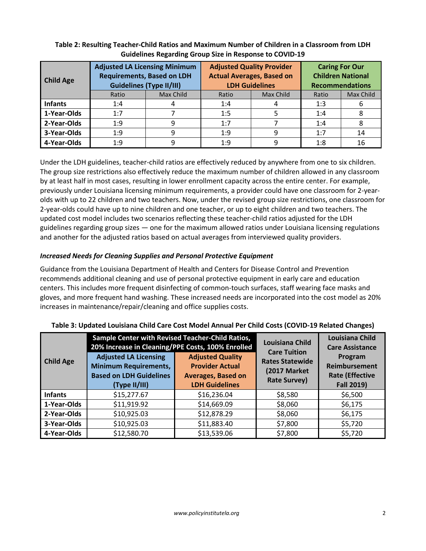| <b>Child Age</b> | <b>Adjusted LA Licensing Minimum</b><br><b>Requirements, Based on LDH</b><br><b>Guidelines (Type II/III)</b> |           | <b>Adjusted Quality Provider</b><br><b>Actual Averages, Based on</b><br><b>LDH Guidelines</b> |           | <b>Caring For Our</b><br><b>Children National</b><br><b>Recommendations</b> |           |
|------------------|--------------------------------------------------------------------------------------------------------------|-----------|-----------------------------------------------------------------------------------------------|-----------|-----------------------------------------------------------------------------|-----------|
|                  | Ratio                                                                                                        | Max Child | Ratio                                                                                         | Max Child | Ratio                                                                       | Max Child |
| <b>Infants</b>   | 1:4                                                                                                          |           | 1:4                                                                                           |           | 1:3                                                                         |           |
| 1-Year-Olds      | 1:7                                                                                                          |           | 1:5                                                                                           |           | 1:4                                                                         | 8         |
| 2-Year-Olds      | 1:9                                                                                                          | 9         | 1:7                                                                                           |           | 1:4                                                                         | 8         |
| 3-Year-Olds      | 1:9                                                                                                          | 9         | 1:9                                                                                           | q         | 1:7                                                                         | 14        |
| 4-Year-Olds      | 1:9                                                                                                          |           | 1:9                                                                                           |           | 1:8                                                                         | 16        |

## **Table 2: Resulting Teacher-Child Ratios and Maximum Number of Children in a Classroom from LDH Guidelines Regarding Group Size in Response to COVID-19**

Under the LDH guidelines, teacher-child ratios are effectively reduced by anywhere from one to six children. The group size restrictions also effectively reduce the maximum number of children allowed in any classroom by at least half in most cases, resulting in lower enrollment capacity across the entire center. For example, previously under Louisiana licensing minimum requirements, a provider could have one classroom for 2-yearolds with up to 22 children and two teachers. Now, under the revised group size restrictions, one classroom for 2-year-olds could have up to nine children and one teacher, or up to eight children and two teachers. The updated cost model includes two scenarios reflecting these teacher-child ratios adjusted for the LDH guidelines regarding group sizes — one for the maximum allowed ratios under Louisiana licensing regulations and another for the adjusted ratios based on actual averages from interviewed quality providers.

## *Increased Needs for Cleaning Supplies and Personal Protective Equipment*

Guidance from the Louisiana Department of Health and Centers for Disease Control and Prevention recommends additional cleaning and use of personal protective equipment in early care and education centers. This includes more frequent disinfecting of common-touch surfaces, staff wearing face masks and gloves, and more frequent hand washing. These increased needs are incorporated into the cost model as 20% increases in maintenance/repair/cleaning and office supplies costs.

|                  | Sample Center with Revised Teacher-Child Ratios,<br>20% Increase in Cleaning/PPE Costs, 100% Enrolled |                                                   | <b>Louisiana Child</b><br><b>Care Tuition</b> | <b>Louisiana Child</b><br><b>Care Assistance</b><br>Program<br>Reimbursement<br><b>Rate (Effective</b> |  |
|------------------|-------------------------------------------------------------------------------------------------------|---------------------------------------------------|-----------------------------------------------|--------------------------------------------------------------------------------------------------------|--|
| <b>Child Age</b> | <b>Adjusted LA Licensing</b><br><b>Minimum Requirements,</b>                                          | <b>Adjusted Quality</b><br><b>Provider Actual</b> | <b>Rates Statewide</b><br>(2017 Market        |                                                                                                        |  |
|                  | <b>Based on LDH Guidelines</b>                                                                        | <b>Averages, Based on</b>                         | <b>Rate Survey)</b>                           |                                                                                                        |  |
|                  | (Type II/III)                                                                                         | <b>LDH Guidelines</b>                             |                                               | <b>Fall 2019)</b>                                                                                      |  |
| <b>Infants</b>   | \$15,277.67                                                                                           | \$16,236.04                                       | \$8,580                                       | \$6,500                                                                                                |  |
| 1-Year-Olds      | \$11,919.92                                                                                           | \$14,669.09                                       | \$8,060                                       | \$6,175                                                                                                |  |
| 2-Year-Olds      | \$10,925.03                                                                                           | \$12,878.29                                       | \$8,060                                       | \$6,175                                                                                                |  |
| 3-Year-Olds      | \$10,925.03                                                                                           | \$11,883.40                                       | \$7,800                                       | \$5,720                                                                                                |  |
| 4-Year-Olds      | \$12,580.70                                                                                           | \$13,539.06                                       | \$7,800                                       | \$5,720                                                                                                |  |

#### **Table 3: Updated Louisiana Child Care Cost Model Annual Per Child Costs (COVID-19 Related Changes)**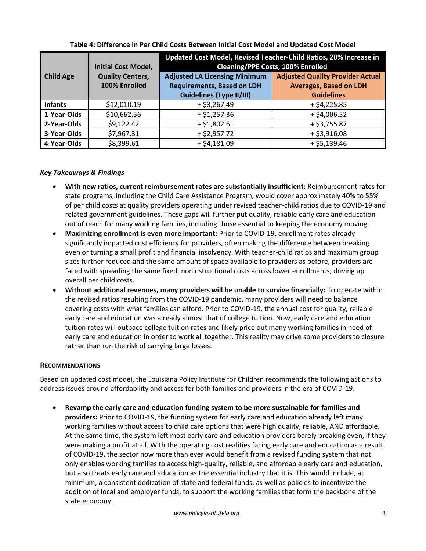|                  | <b>Initial Cost Model,</b>               | Updated Cost Model, Revised Teacher-Child Ratios, 20% Increase in<br><b>Cleaning/PPE Costs, 100% Enrolled</b> |                                                                                               |  |  |
|------------------|------------------------------------------|---------------------------------------------------------------------------------------------------------------|-----------------------------------------------------------------------------------------------|--|--|
| <b>Child Age</b> | <b>Quality Centers,</b><br>100% Enrolled | <b>Adjusted LA Licensing Minimum</b><br><b>Requirements, Based on LDH</b>                                     | <b>Adjusted Quality Provider Actual</b><br><b>Averages, Based on LDH</b><br><b>Guidelines</b> |  |  |
|                  |                                          | <b>Guidelines (Type II/III)</b>                                                                               |                                                                                               |  |  |
| <b>Infants</b>   | \$12,010.19                              | $+ $3,267.49$                                                                                                 | $+ $4,225.85$                                                                                 |  |  |
| 1-Year-Olds      | \$10,662.56                              | $+ $1,257.36$                                                                                                 | $+ $4,006.52$                                                                                 |  |  |
| 2-Year-Olds      | \$9,122.42                               | $+ $1,802.61$                                                                                                 | $+ $3,755.87$                                                                                 |  |  |
| 3-Year-Olds      | \$7,967.31                               | $+ $2,957.72$                                                                                                 | $+ $3,916.08$                                                                                 |  |  |
| 4-Year-Olds      | \$8,399.61                               | $+ $4,181.09$                                                                                                 | $+ $5,139.46$                                                                                 |  |  |

**Table 4: Difference in Per Child Costs Between Initial Cost Model and Updated Cost Model**

### *Key Takeaways & Findings*

- **With new ratios, current reimbursement rates are substantially insufficient:** Reimbursement rates for state programs, including the Child Care Assistance Program, would cover approximately 40% to 55% of per child costs at quality providers operating under revised teacher-child ratios due to COVID-19 and related government guidelines. These gaps will further put quality, reliable early care and education out of reach for many working families, including those essential to keeping the economy moving.
- **Maximizing enrollment is even more important:** Prior to COVID-19, enrollment rates already significantly impacted cost efficiency for providers, often making the difference between breaking even or turning a small profit and financial insolvency. With teacher-child ratios and maximum group sizes further reduced and the same amount of space available to providers as before, providers are faced with spreading the same fixed, noninstructional costs across lower enrollments, driving up overall per child costs.
- **Without additional revenues, many providers will be unable to survive financially:** To operate within the revised ratios resulting from the COVID-19 pandemic, many providers will need to balance covering costs with what families can afford. Prior to COVID-19, the annual cost for quality, reliable early care and education was already almost that of college tuition. Now, early care and education tuition rates will outpace college tuition rates and likely price out many working families in need of early care and education in order to work all together. This reality may drive some providers to closure rather than run the risk of carrying large losses.

#### **RECOMMENDATIONS**

Based on updated cost model, the Louisiana Policy Institute for Children recommends the following actions to address issues around affordability and access for both families and providers in the era of COVID-19.

• **Revamp the early care and education funding system to be more sustainable for families and providers:** Prior to COVID-19, the funding system for early care and education already left many working families without access to child care options that were high quality, reliable, AND affordable. At the same time, the system left most early care and education providers barely breaking even, if they were making a profit at all. With the operating cost realities facing early care and education as a result of COVID-19, the sector now more than ever would benefit from a revised funding system that not only enables working families to access high-quality, reliable, and affordable early care and education, but also treats early care and education as the essential industry that it is. This would include, at minimum, a consistent dedication of state and federal funds, as well as policies to incentivize the addition of local and employer funds, to support the working families that form the backbone of the state economy.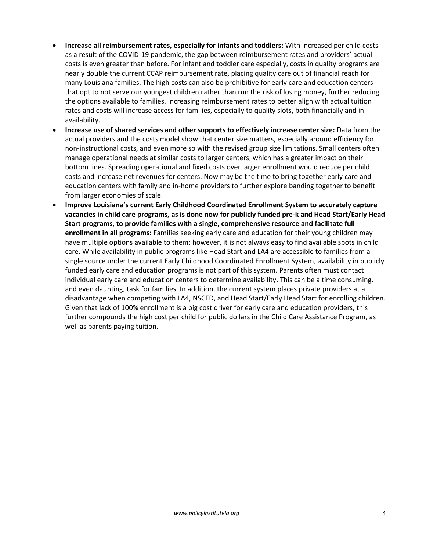- **Increase all reimbursement rates, especially for infants and toddlers:** With increased per child costs as a result of the COVID-19 pandemic, the gap between reimbursement rates and providers' actual costs is even greater than before. For infant and toddler care especially, costs in quality programs are nearly double the current CCAP reimbursement rate, placing quality care out of financial reach for many Louisiana families. The high costs can also be prohibitive for early care and education centers that opt to not serve our youngest children rather than run the risk of losing money, further reducing the options available to families. Increasing reimbursement rates to better align with actual tuition rates and costs will increase access for families, especially to quality slots, both financially and in availability.
- **Increase use of shared services and other supports to effectively increase center size:** Data from the actual providers and the costs model show that center size matters, especially around efficiency for non-instructional costs, and even more so with the revised group size limitations. Small centers often manage operational needs at similar costs to larger centers, which has a greater impact on their bottom lines. Spreading operational and fixed costs over larger enrollment would reduce per child costs and increase net revenues for centers. Now may be the time to bring together early care and education centers with family and in-home providers to further explore banding together to benefit from larger economies of scale.
- **Improve Louisiana's current Early Childhood Coordinated Enrollment System to accurately capture vacancies in child care programs, as is done now for publicly funded pre-k and Head Start/Early Head Start programs, to provide families with a single, comprehensive resource and facilitate full enrollment in all programs:** Families seeking early care and education for their young children may have multiple options available to them; however, it is not always easy to find available spots in child care. While availability in public programs like Head Start and LA4 are accessible to families from a single source under the current Early Childhood Coordinated Enrollment System, availability in publicly funded early care and education programs is not part of this system. Parents often must contact individual early care and education centers to determine availability. This can be a time consuming, and even daunting, task for families. In addition, the current system places private providers at a disadvantage when competing with LA4, NSCED, and Head Start/Early Head Start for enrolling children. Given that lack of 100% enrollment is a big cost driver for early care and education providers, this further compounds the high cost per child for public dollars in the Child Care Assistance Program, as well as parents paying tuition.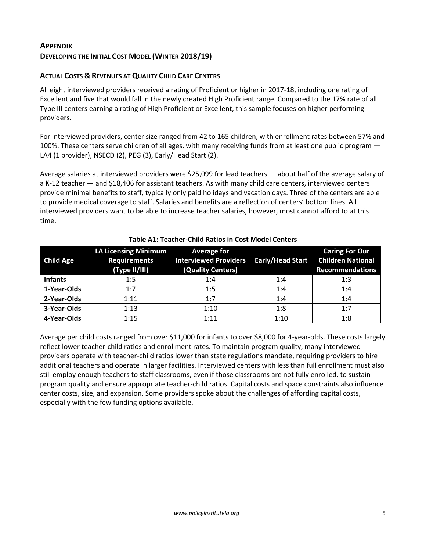# **APPENDIX DEVELOPING THE INITIAL COST MODEL (WINTER 2018/19)**

## **ACTUAL COSTS & REVENUES AT QUALITY CHILD CARE CENTERS**

All eight interviewed providers received a rating of Proficient or higher in 2017-18, including one rating of Excellent and five that would fall in the newly created High Proficient range. Compared to the 17% rate of all Type III centers earning a rating of High Proficient or Excellent, this sample focuses on higher performing providers.

For interviewed providers, center size ranged from 42 to 165 children, with enrollment rates between 57% and 100%. These centers serve children of all ages, with many receiving funds from at least one public program — LA4 (1 provider), NSECD (2), PEG (3), Early/Head Start (2).

Average salaries at interviewed providers were \$25,099 for lead teachers — about half of the average salary of a K-12 teacher — and \$18,406 for assistant teachers. As with many child care centers, interviewed centers provide minimal benefits to staff, typically only paid holidays and vacation days. Three of the centers are able to provide medical coverage to staff. Salaries and benefits are a reflection of centers' bottom lines. All interviewed providers want to be able to increase teacher salaries, however, most cannot afford to at this time.

| <b>Child Age</b> | <b>LA Licensing Minimum</b><br><b>Requirements</b><br>(Type II/III) | <b>Average for</b><br>Interviewed Providers Early/Head Start<br>(Quality Centers) |      | <b>Caring For Our</b><br><b>Children National</b><br><b>Recommendations</b> |
|------------------|---------------------------------------------------------------------|-----------------------------------------------------------------------------------|------|-----------------------------------------------------------------------------|
| <b>Infants</b>   | 1:5                                                                 | 1:4                                                                               | 1:4  | 1:3                                                                         |
| 1-Year-Olds      | 1:7                                                                 | 1:5                                                                               | 1:4  | 1:4                                                                         |
| 2-Year-Olds      | 1:11                                                                | 1:7                                                                               | 1:4  | 1:4                                                                         |
| 3-Year-Olds      | 1:13                                                                | 1:10                                                                              | 1:8  | 1:7                                                                         |
| 4-Year-Olds      | 1:15                                                                | 1:11                                                                              | 1:10 | 1:8                                                                         |

#### **Table A1: Teacher-Child Ratios in Cost Model Centers**

Average per child costs ranged from over \$11,000 for infants to over \$8,000 for 4-year-olds. These costs largely reflect lower teacher-child ratios and enrollment rates. To maintain program quality, many interviewed providers operate with teacher-child ratios lower than state regulations mandate, requiring providers to hire additional teachers and operate in larger facilities. Interviewed centers with less than full enrollment must also still employ enough teachers to staff classrooms, even if those classrooms are not fully enrolled, to sustain program quality and ensure appropriate teacher-child ratios. Capital costs and space constraints also influence center costs, size, and expansion. Some providers spoke about the challenges of affording capital costs, especially with the few funding options available.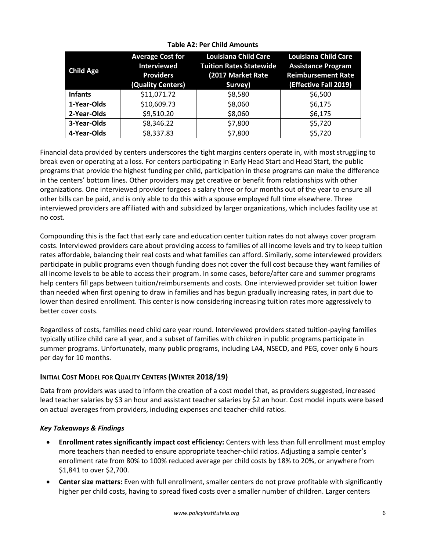| <b>Child Age</b> | <b>Average Cost for</b><br><b>Interviewed</b><br><b>Providers</b><br>(Quality Centers) | <b>Louisiana Child Care</b><br><b>Tuition Rates Statewide</b><br>(2017 Market Rate<br>Survey) | <b>Louisiana Child Care</b><br><b>Assistance Program</b><br><b>Reimbursement Rate</b><br>(Effective Fall 2019) |
|------------------|----------------------------------------------------------------------------------------|-----------------------------------------------------------------------------------------------|----------------------------------------------------------------------------------------------------------------|
| <b>Infants</b>   | \$11,071.72                                                                            | \$8,580                                                                                       | \$6,500                                                                                                        |
| 1-Year-Olds      | \$10,609.73                                                                            | \$8,060                                                                                       | \$6,175                                                                                                        |
| 2-Year-Olds      | \$9,510.20                                                                             | \$8,060                                                                                       | \$6,175                                                                                                        |
| 3-Year-Olds      | \$8,346.22                                                                             | \$7,800                                                                                       | \$5,720                                                                                                        |
| 4-Year-Olds      | \$8,337.83                                                                             | \$7,800                                                                                       | \$5,720                                                                                                        |

### **Table A2: Per Child Amounts**

Financial data provided by centers underscores the tight margins centers operate in, with most struggling to break even or operating at a loss. For centers participating in Early Head Start and Head Start, the public programs that provide the highest funding per child, participation in these programs can make the difference in the centers' bottom lines. Other providers may get creative or benefit from relationships with other organizations. One interviewed provider forgoes a salary three or four months out of the year to ensure all other bills can be paid, and is only able to do this with a spouse employed full time elsewhere. Three interviewed providers are affiliated with and subsidized by larger organizations, which includes facility use at no cost.

Compounding this is the fact that early care and education center tuition rates do not always cover program costs. Interviewed providers care about providing access to families of all income levels and try to keep tuition rates affordable, balancing their real costs and what families can afford. Similarly, some interviewed providers participate in public programs even though funding does not cover the full cost because they want families of all income levels to be able to access their program. In some cases, before/after care and summer programs help centers fill gaps between tuition/reimbursements and costs. One interviewed provider set tuition lower than needed when first opening to draw in families and has begun gradually increasing rates, in part due to lower than desired enrollment. This center is now considering increasing tuition rates more aggressively to better cover costs.

Regardless of costs, families need child care year round. Interviewed providers stated tuition-paying families typically utilize child care all year, and a subset of families with children in public programs participate in summer programs. Unfortunately, many public programs, including LA4, NSECD, and PEG, cover only 6 hours per day for 10 months.

## **INITIAL COST MODEL FOR QUALITY CENTERS (WINTER 2018/19)**

Data from providers was used to inform the creation of a cost model that, as providers suggested, increased lead teacher salaries by \$3 an hour and assistant teacher salaries by \$2 an hour. Cost model inputs were based on actual averages from providers, including expenses and teacher-child ratios.

## *Key Takeaways & Findings*

- **Enrollment rates significantly impact cost efficiency:** Centers with less than full enrollment must employ more teachers than needed to ensure appropriate teacher-child ratios. Adjusting a sample center's enrollment rate from 80% to 100% reduced average per child costs by 18% to 20%, or anywhere from \$1,841 to over \$2,700.
- **Center size matters:** Even with full enrollment, smaller centers do not prove profitable with significantly higher per child costs, having to spread fixed costs over a smaller number of children. Larger centers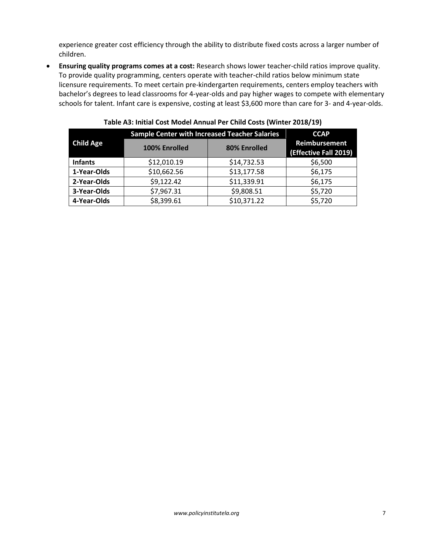experience greater cost efficiency through the ability to distribute fixed costs across a larger number of children.

• **Ensuring quality programs comes at a cost:** Research shows lower teacher-child ratios improve quality. To provide quality programming, centers operate with teacher-child ratios below minimum state licensure requirements. To meet certain pre-kindergarten requirements, centers employ teachers with bachelor's degrees to lead classrooms for 4-year-olds and pay higher wages to compete with elementary schools for talent. Infant care is expensive, costing at least \$3,600 more than care for 3- and 4-year-olds.

|                  | <b>Sample Center with Increased Teacher Salaries</b> | <b>CCAP</b>  |                                        |
|------------------|------------------------------------------------------|--------------|----------------------------------------|
| <b>Child Age</b> | 100% Enrolled                                        | 80% Enrolled | Reimbursement<br>(Effective Fall 2019) |
| <b>Infants</b>   | \$12,010.19                                          | \$14,732.53  | \$6,500                                |
| 1-Year-Olds      | \$10,662.56                                          | \$13,177.58  | \$6,175                                |
| 2-Year-Olds      | \$9,122.42                                           | \$11,339.91  | \$6,175                                |
| 3-Year-Olds      | \$7,967.31                                           | \$9,808.51   | \$5,720                                |
| 4-Year-Olds      | \$8,399.61                                           | \$10,371.22  | \$5,720                                |

**Table A3: Initial Cost Model Annual Per Child Costs (Winter 2018/19)**